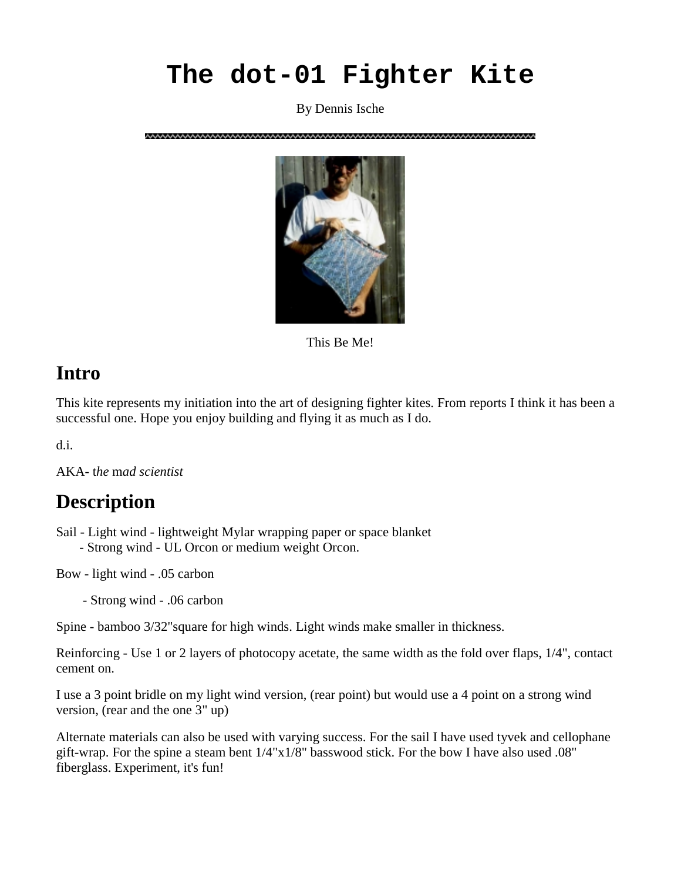# **The dot-01 Fighter Kite**

By Dennis Ische



This Be Me!

#### **Intro**

This kite represents my initiation into the art of designing fighter kites. From reports I think it has been a successful one. Hope you enjoy building and flying it as much as I do.

d.i.

AKA- t*he* m*ad scientist* 

### **Description**

Sail - Light wind - lightweight Mylar wrapping paper or space blanket - Strong wind - UL Orcon or medium weight Orcon.

Bow - light wind - .05 carbon

- Strong wind - .06 carbon

Spine - bamboo 3/32"square for high winds. Light winds make smaller in thickness.

Reinforcing - Use 1 or 2 layers of photocopy acetate, the same width as the fold over flaps, 1/4", contact cement on.

I use a 3 point bridle on my light wind version, (rear point) but would use a 4 point on a strong wind version, (rear and the one 3" up)

Alternate materials can also be used with varying success. For the sail I have used tyvek and cellophane gift-wrap. For the spine a steam bent 1/4"x1/8" basswood stick. For the bow I have also used .08" fiberglass. Experiment, it's fun!